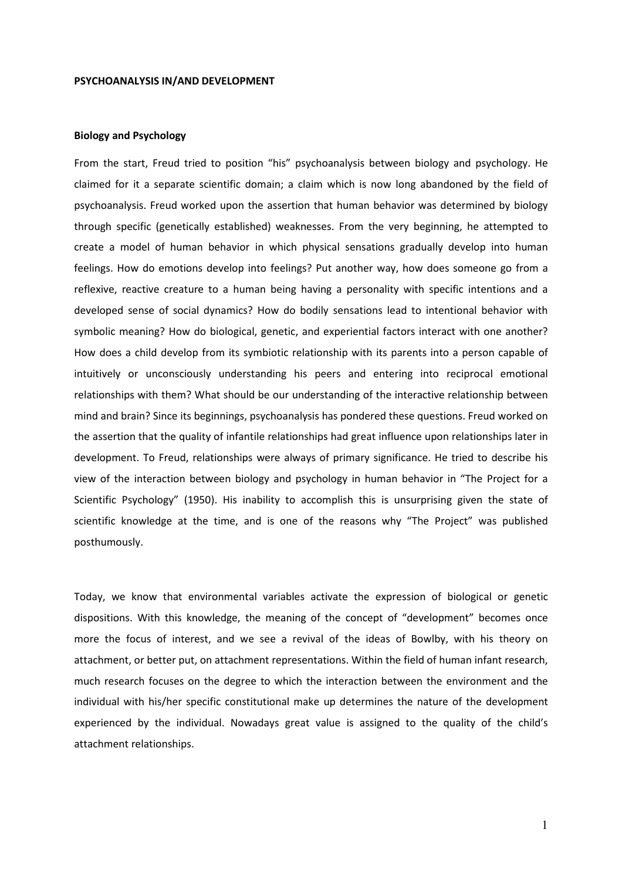#### PSYCHOANALYSIS IN/AND DEVELOPMENT

# Biology and Psychology

From the start, Freud tried to position "his" psychoanalysis between biology and psychology. He claimed for it a separate scientific domain; a claim which is now long abandoned by the field of psychoanalysis. Freud worked upon the assertion that human behavior was determined by biology through specific (genetically established) weaknesses. From the very beginning, he attempted to create a model of human behavior in which physical sensations gradually develop into human feelings. How do emotions develop into feelings? Put another way, how does someone go from a reflexive, reactive creature to a human being having a personality with specific intentions and a developed sense of social dynamics? How do bodily sensations lead to intentional behavior with symbolic meaning? How do biological, genetic, and experiential factors interact with one another? How does a child develop from its symbiotic relationship with its parents into a person capable of intuitively or unconsciously understanding his peers and entering into reciprocal emotional relationships with them? What should be our understanding of the interactive relationship between mind and brain? Since its beginnings, psychoanalysis has pondered these questions. Freud worked on the assertion that the quality of infantile relationships had great influence upon relationships later in development. To Freud, relationships were always of primary significance. He tried to describe his view of the interaction between biology and psychology in human behavior in "The Project for a Scientific Psychology" (1950). His inability to accomplish this is unsurprising given the state of scientific knowledge at the time, and is one of the reasons why "The Project" was published posthumously.

Today, we know that environmental variables activate the expression of biological or genetic dispositions. With this knowledge, the meaning of the concept of "development" becomes once more the focus of interest, and we see a revival of the ideas of Bowlby, with his theory on attachment, or better put, on attachment representations. Within the field of human infant research, much research focuses on the degree to which the interaction between the environment and the individual with his/her specific constitutional make up determines the nature of the development experienced by the individual. Nowadays great value is assigned to the quality of the child's attachment relationships.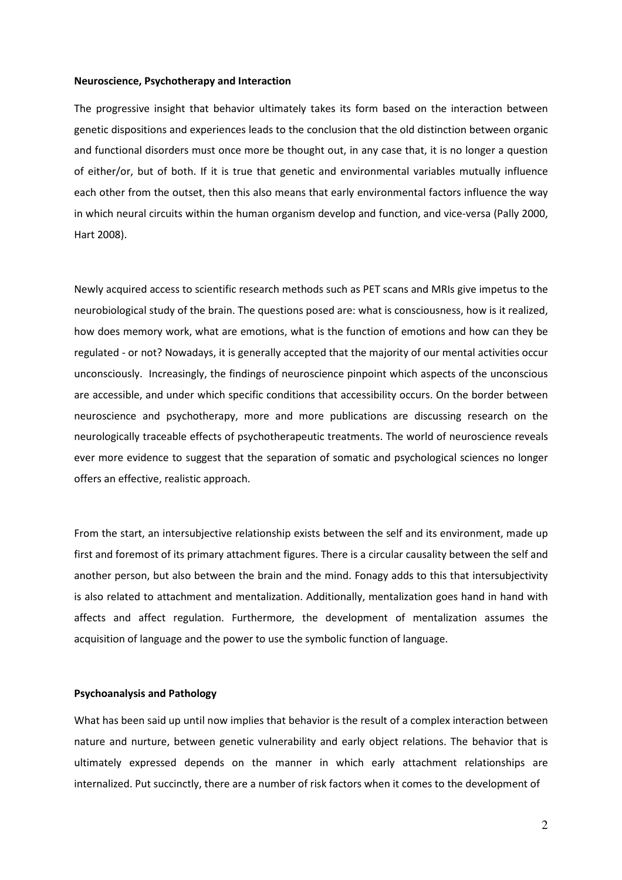### Neuroscience, Psychotherapy and Interaction

The progressive insight that behavior ultimately takes its form based on the interaction between genetic dispositions and experiences leads to the conclusion that the old distinction between organic and functional disorders must once more be thought out, in any case that, it is no longer a question of either/or, but of both. If it is true that genetic and environmental variables mutually influence each other from the outset, then this also means that early environmental factors influence the way in which neural circuits within the human organism develop and function, and vice-versa (Pally 2000, Hart 2008).

Newly acquired access to scientific research methods such as PET scans and MRIs give impetus to the neurobiological study of the brain. The questions posed are: what is consciousness, how is it realized, how does memory work, what are emotions, what is the function of emotions and how can they be regulated - or not? Nowadays, it is generally accepted that the majority of our mental activities occur unconsciously. Increasingly, the findings of neuroscience pinpoint which aspects of the unconscious are accessible, and under which specific conditions that accessibility occurs. On the border between neuroscience and psychotherapy, more and more publications are discussing research on the neurologically traceable effects of psychotherapeutic treatments. The world of neuroscience reveals ever more evidence to suggest that the separation of somatic and psychological sciences no longer offers an effective, realistic approach.

From the start, an intersubjective relationship exists between the self and its environment, made up first and foremost of its primary attachment figures. There is a circular causality between the self and another person, but also between the brain and the mind. Fonagy adds to this that intersubjectivity is also related to attachment and mentalization. Additionally, mentalization goes hand in hand with affects and affect regulation. Furthermore, the development of mentalization assumes the acquisition of language and the power to use the symbolic function of language.

# Psychoanalysis and Pathology

What has been said up until now implies that behavior is the result of a complex interaction between nature and nurture, between genetic vulnerability and early object relations. The behavior that is ultimately expressed depends on the manner in which early attachment relationships are internalized. Put succinctly, there are a number of risk factors when it comes to the development of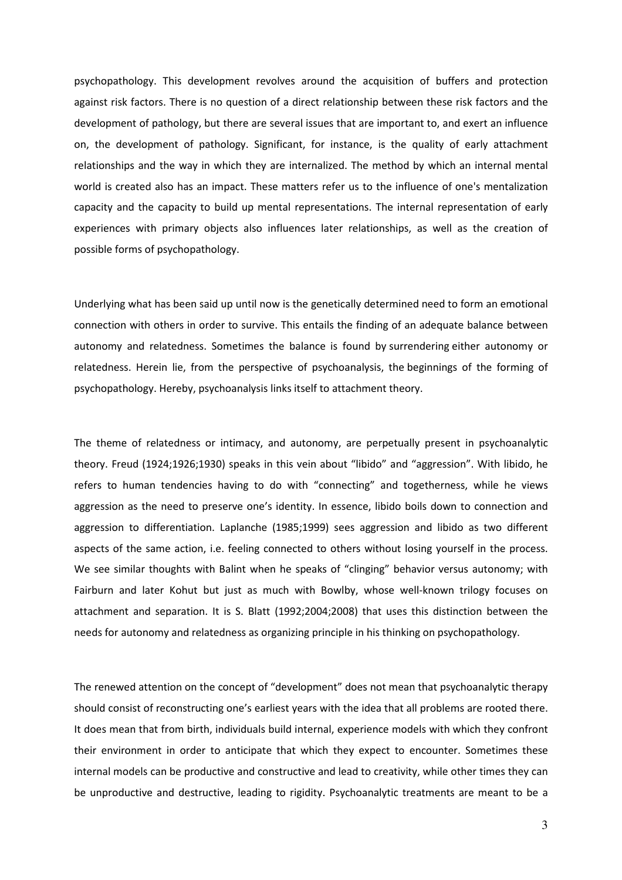psychopathology. This development revolves around the acquisition of buffers and protection against risk factors. There is no question of a direct relationship between these risk factors and the development of pathology, but there are several issues that are important to, and exert an influence on, the development of pathology. Significant, for instance, is the quality of early attachment relationships and the way in which they are internalized. The method by which an internal mental world is created also has an impact. These matters refer us to the influence of one's mentalization capacity and the capacity to build up mental representations. The internal representation of early experiences with primary objects also influences later relationships, as well as the creation of possible forms of psychopathology.

Underlying what has been said up until now is the genetically determined need to form an emotional connection with others in order to survive. This entails the finding of an adequate balance between autonomy and relatedness. Sometimes the balance is found by surrendering either autonomy or relatedness. Herein lie, from the perspective of psychoanalysis, the beginnings of the forming of psychopathology. Hereby, psychoanalysis links itself to attachment theory.

The theme of relatedness or intimacy, and autonomy, are perpetually present in psychoanalytic theory. Freud (1924;1926;1930) speaks in this vein about "libido" and "aggression". With libido, he refers to human tendencies having to do with "connecting" and togetherness, while he views aggression as the need to preserve one's identity. In essence, libido boils down to connection and aggression to differentiation. Laplanche (1985;1999) sees aggression and libido as two different aspects of the same action, i.e. feeling connected to others without losing yourself in the process. We see similar thoughts with Balint when he speaks of "clinging" behavior versus autonomy; with Fairburn and later Kohut but just as much with Bowlby, whose well-known trilogy focuses on attachment and separation. It is S. Blatt (1992;2004;2008) that uses this distinction between the needs for autonomy and relatedness as organizing principle in his thinking on psychopathology.

The renewed attention on the concept of "development" does not mean that psychoanalytic therapy should consist of reconstructing one's earliest years with the idea that all problems are rooted there. It does mean that from birth, individuals build internal, experience models with which they confront their environment in order to anticipate that which they expect to encounter. Sometimes these internal models can be productive and constructive and lead to creativity, while other times they can be unproductive and destructive, leading to rigidity. Psychoanalytic treatments are meant to be a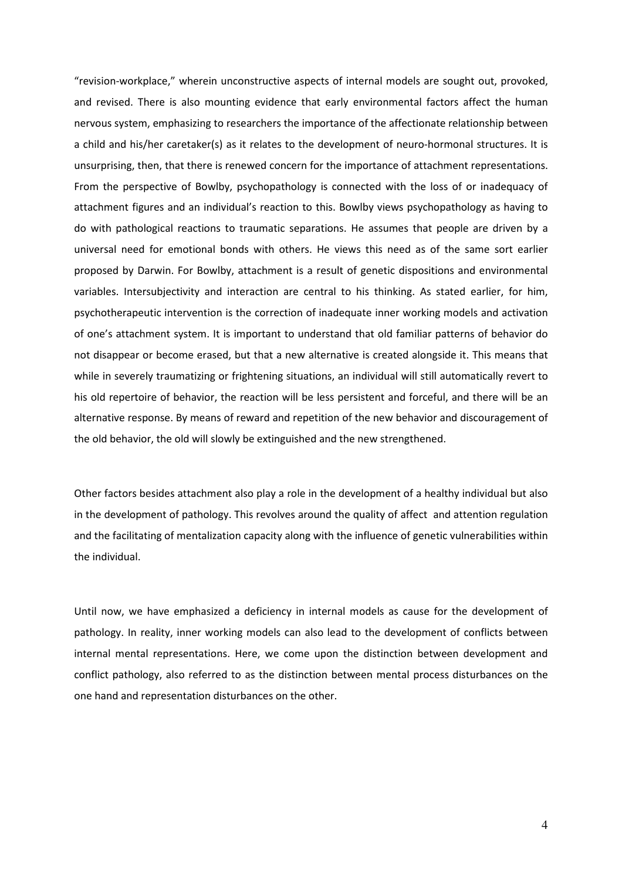"revision-workplace," wherein unconstructive aspects of internal models are sought out, provoked, and revised. There is also mounting evidence that early environmental factors affect the human nervous system, emphasizing to researchers the importance of the affectionate relationship between a child and his/her caretaker(s) as it relates to the development of neuro-hormonal structures. It is unsurprising, then, that there is renewed concern for the importance of attachment representations. From the perspective of Bowlby, psychopathology is connected with the loss of or inadequacy of attachment figures and an individual's reaction to this. Bowlby views psychopathology as having to do with pathological reactions to traumatic separations. He assumes that people are driven by a universal need for emotional bonds with others. He views this need as of the same sort earlier proposed by Darwin. For Bowlby, attachment is a result of genetic dispositions and environmental variables. Intersubjectivity and interaction are central to his thinking. As stated earlier, for him, psychotherapeutic intervention is the correction of inadequate inner working models and activation of one's attachment system. It is important to understand that old familiar patterns of behavior do not disappear or become erased, but that a new alternative is created alongside it. This means that while in severely traumatizing or frightening situations, an individual will still automatically revert to his old repertoire of behavior, the reaction will be less persistent and forceful, and there will be an alternative response. By means of reward and repetition of the new behavior and discouragement of the old behavior, the old will slowly be extinguished and the new strengthened.

Other factors besides attachment also play a role in the development of a healthy individual but also in the development of pathology. This revolves around the quality of affect and attention regulation and the facilitating of mentalization capacity along with the influence of genetic vulnerabilities within the individual.

Until now, we have emphasized a deficiency in internal models as cause for the development of pathology. In reality, inner working models can also lead to the development of conflicts between internal mental representations. Here, we come upon the distinction between development and conflict pathology, also referred to as the distinction between mental process disturbances on the one hand and representation disturbances on the other.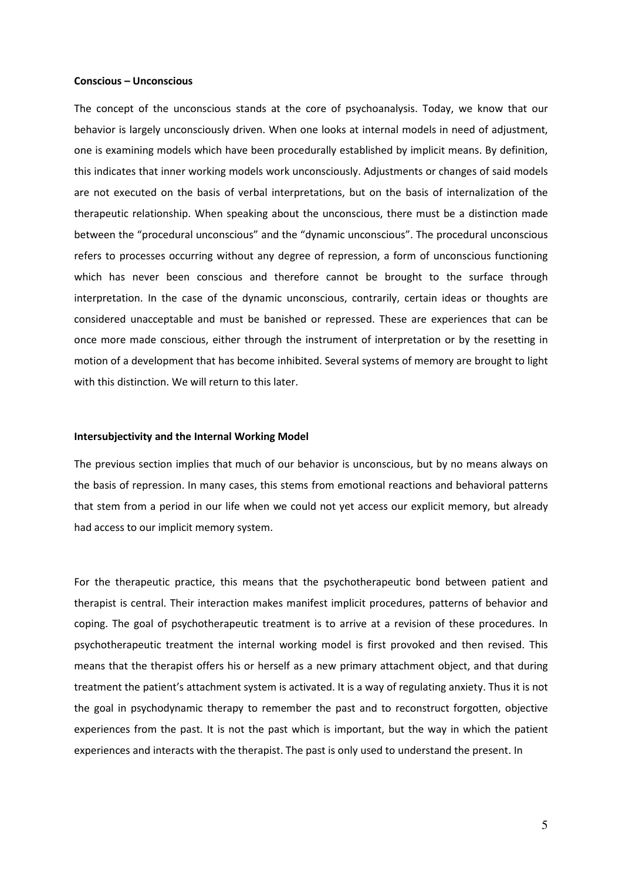#### Conscious – Unconscious

The concept of the unconscious stands at the core of psychoanalysis. Today, we know that our behavior is largely unconsciously driven. When one looks at internal models in need of adjustment, one is examining models which have been procedurally established by implicit means. By definition, this indicates that inner working models work unconsciously. Adjustments or changes of said models are not executed on the basis of verbal interpretations, but on the basis of internalization of the therapeutic relationship. When speaking about the unconscious, there must be a distinction made between the "procedural unconscious" and the "dynamic unconscious". The procedural unconscious refers to processes occurring without any degree of repression, a form of unconscious functioning which has never been conscious and therefore cannot be brought to the surface through interpretation. In the case of the dynamic unconscious, contrarily, certain ideas or thoughts are considered unacceptable and must be banished or repressed. These are experiences that can be once more made conscious, either through the instrument of interpretation or by the resetting in motion of a development that has become inhibited. Several systems of memory are brought to light with this distinction. We will return to this later.

#### Intersubjectivity and the Internal Working Model

The previous section implies that much of our behavior is unconscious, but by no means always on the basis of repression. In many cases, this stems from emotional reactions and behavioral patterns that stem from a period in our life when we could not yet access our explicit memory, but already had access to our implicit memory system.

For the therapeutic practice, this means that the psychotherapeutic bond between patient and therapist is central. Their interaction makes manifest implicit procedures, patterns of behavior and coping. The goal of psychotherapeutic treatment is to arrive at a revision of these procedures. In psychotherapeutic treatment the internal working model is first provoked and then revised. This means that the therapist offers his or herself as a new primary attachment object, and that during treatment the patient's attachment system is activated. It is a way of regulating anxiety. Thus it is not the goal in psychodynamic therapy to remember the past and to reconstruct forgotten, objective experiences from the past. It is not the past which is important, but the way in which the patient experiences and interacts with the therapist. The past is only used to understand the present. In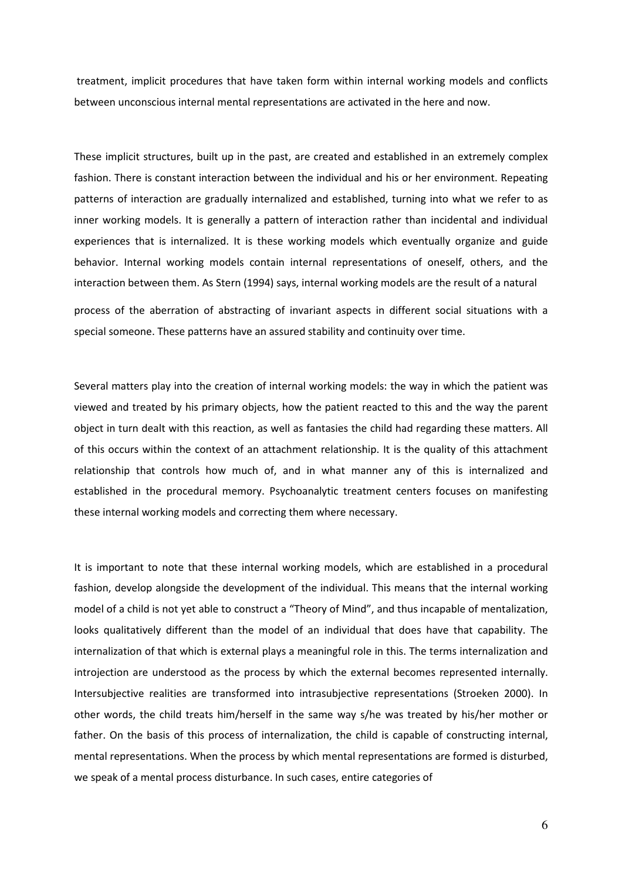treatment, implicit procedures that have taken form within internal working models and conflicts between unconscious internal mental representations are activated in the here and now.

These implicit structures, built up in the past, are created and established in an extremely complex fashion. There is constant interaction between the individual and his or her environment. Repeating patterns of interaction are gradually internalized and established, turning into what we refer to as inner working models. It is generally a pattern of interaction rather than incidental and individual experiences that is internalized. It is these working models which eventually organize and guide behavior. Internal working models contain internal representations of oneself, others, and the interaction between them. As Stern (1994) says, internal working models are the result of a natural process of the aberration of abstracting of invariant aspects in different social situations with a special someone. These patterns have an assured stability and continuity over time.

Several matters play into the creation of internal working models: the way in which the patient was viewed and treated by his primary objects, how the patient reacted to this and the way the parent object in turn dealt with this reaction, as well as fantasies the child had regarding these matters. All of this occurs within the context of an attachment relationship. It is the quality of this attachment relationship that controls how much of, and in what manner any of this is internalized and established in the procedural memory. Psychoanalytic treatment centers focuses on manifesting these internal working models and correcting them where necessary.

It is important to note that these internal working models, which are established in a procedural fashion, develop alongside the development of the individual. This means that the internal working model of a child is not yet able to construct a "Theory of Mind", and thus incapable of mentalization, looks qualitatively different than the model of an individual that does have that capability. The internalization of that which is external plays a meaningful role in this. The terms internalization and introjection are understood as the process by which the external becomes represented internally. Intersubjective realities are transformed into intrasubjective representations (Stroeken 2000). In other words, the child treats him/herself in the same way s/he was treated by his/her mother or father. On the basis of this process of internalization, the child is capable of constructing internal, mental representations. When the process by which mental representations are formed is disturbed, we speak of a mental process disturbance. In such cases, entire categories of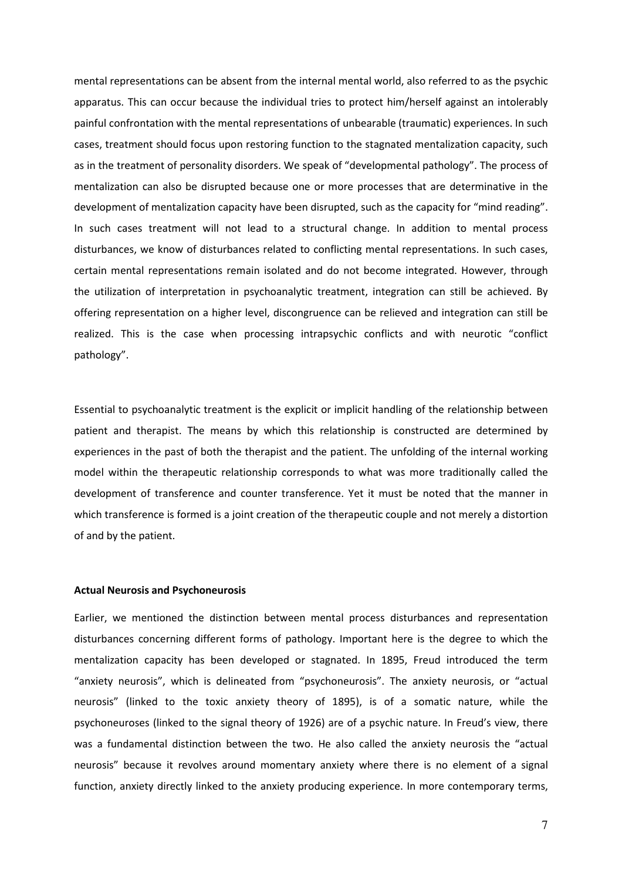mental representations can be absent from the internal mental world, also referred to as the psychic apparatus. This can occur because the individual tries to protect him/herself against an intolerably painful confrontation with the mental representations of unbearable (traumatic) experiences. In such cases, treatment should focus upon restoring function to the stagnated mentalization capacity, such as in the treatment of personality disorders. We speak of "developmental pathology". The process of mentalization can also be disrupted because one or more processes that are determinative in the development of mentalization capacity have been disrupted, such as the capacity for "mind reading". In such cases treatment will not lead to a structural change. In addition to mental process disturbances, we know of disturbances related to conflicting mental representations. In such cases, certain mental representations remain isolated and do not become integrated. However, through the utilization of interpretation in psychoanalytic treatment, integration can still be achieved. By offering representation on a higher level, discongruence can be relieved and integration can still be realized. This is the case when processing intrapsychic conflicts and with neurotic "conflict pathology".

Essential to psychoanalytic treatment is the explicit or implicit handling of the relationship between patient and therapist. The means by which this relationship is constructed are determined by experiences in the past of both the therapist and the patient. The unfolding of the internal working model within the therapeutic relationship corresponds to what was more traditionally called the development of transference and counter transference. Yet it must be noted that the manner in which transference is formed is a joint creation of the therapeutic couple and not merely a distortion of and by the patient.

## Actual Neurosis and Psychoneurosis

Earlier, we mentioned the distinction between mental process disturbances and representation disturbances concerning different forms of pathology. Important here is the degree to which the mentalization capacity has been developed or stagnated. In 1895, Freud introduced the term "anxiety neurosis", which is delineated from "psychoneurosis". The anxiety neurosis, or "actual neurosis" (linked to the toxic anxiety theory of 1895), is of a somatic nature, while the psychoneuroses (linked to the signal theory of 1926) are of a psychic nature. In Freud's view, there was a fundamental distinction between the two. He also called the anxiety neurosis the "actual neurosis" because it revolves around momentary anxiety where there is no element of a signal function, anxiety directly linked to the anxiety producing experience. In more contemporary terms,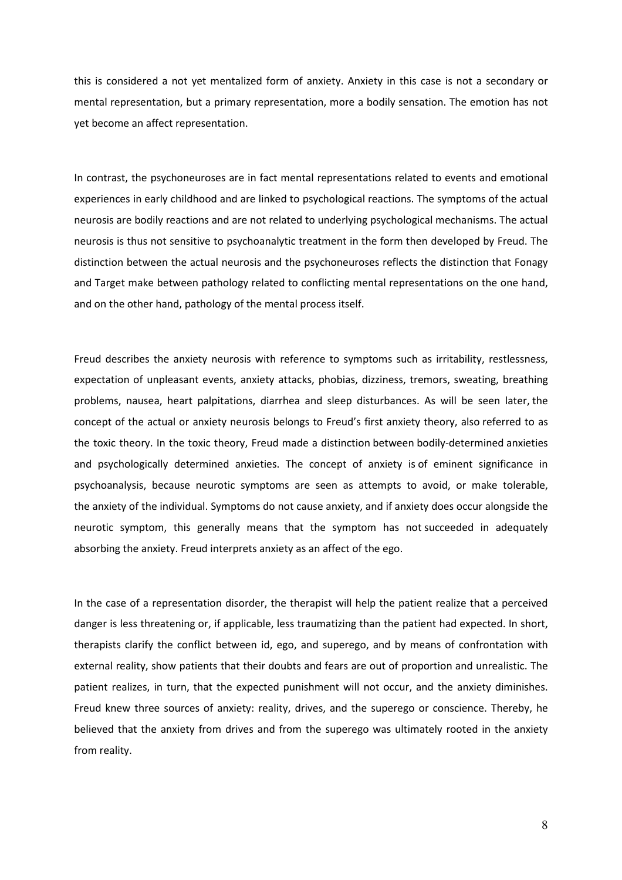this is considered a not yet mentalized form of anxiety. Anxiety in this case is not a secondary or mental representation, but a primary representation, more a bodily sensation. The emotion has not yet become an affect representation.

In contrast, the psychoneuroses are in fact mental representations related to events and emotional experiences in early childhood and are linked to psychological reactions. The symptoms of the actual neurosis are bodily reactions and are not related to underlying psychological mechanisms. The actual neurosis is thus not sensitive to psychoanalytic treatment in the form then developed by Freud. The distinction between the actual neurosis and the psychoneuroses reflects the distinction that Fonagy and Target make between pathology related to conflicting mental representations on the one hand, and on the other hand, pathology of the mental process itself.

Freud describes the anxiety neurosis with reference to symptoms such as irritability, restlessness, expectation of unpleasant events, anxiety attacks, phobias, dizziness, tremors, sweating, breathing problems, nausea, heart palpitations, diarrhea and sleep disturbances. As will be seen later, the concept of the actual or anxiety neurosis belongs to Freud's first anxiety theory, also referred to as the toxic theory. In the toxic theory, Freud made a distinction between bodily-determined anxieties and psychologically determined anxieties. The concept of anxiety is of eminent significance in psychoanalysis, because neurotic symptoms are seen as attempts to avoid, or make tolerable, the anxiety of the individual. Symptoms do not cause anxiety, and if anxiety does occur alongside the neurotic symptom, this generally means that the symptom has not succeeded in adequately absorbing the anxiety. Freud interprets anxiety as an affect of the ego.

In the case of a representation disorder, the therapist will help the patient realize that a perceived danger is less threatening or, if applicable, less traumatizing than the patient had expected. In short, therapists clarify the conflict between id, ego, and superego, and by means of confrontation with external reality, show patients that their doubts and fears are out of proportion and unrealistic. The patient realizes, in turn, that the expected punishment will not occur, and the anxiety diminishes. Freud knew three sources of anxiety: reality, drives, and the superego or conscience. Thereby, he believed that the anxiety from drives and from the superego was ultimately rooted in the anxiety from reality.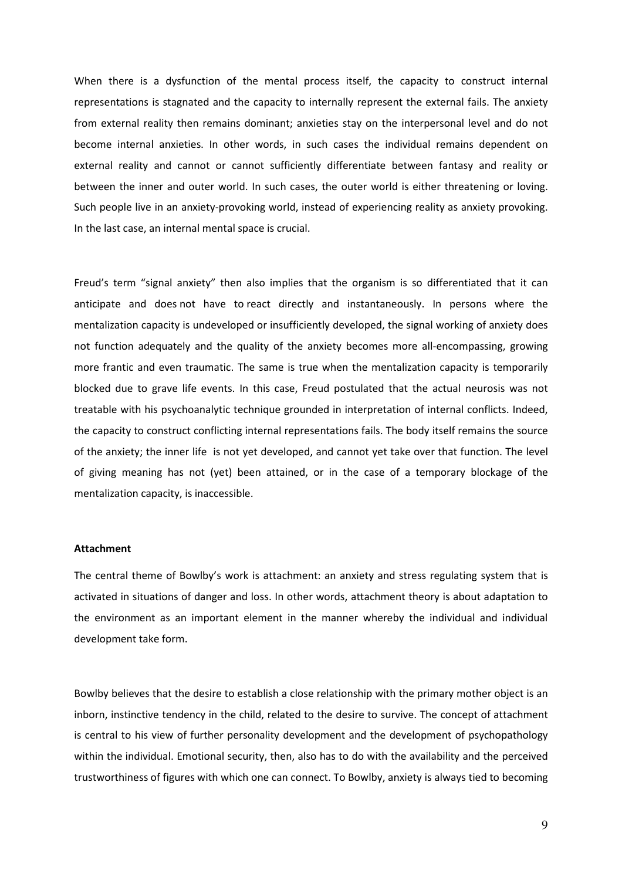When there is a dysfunction of the mental process itself, the capacity to construct internal representations is stagnated and the capacity to internally represent the external fails. The anxiety from external reality then remains dominant; anxieties stay on the interpersonal level and do not become internal anxieties. In other words, in such cases the individual remains dependent on external reality and cannot or cannot sufficiently differentiate between fantasy and reality or between the inner and outer world. In such cases, the outer world is either threatening or loving. Such people live in an anxiety-provoking world, instead of experiencing reality as anxiety provoking. In the last case, an internal mental space is crucial.

Freud's term "signal anxiety" then also implies that the organism is so differentiated that it can anticipate and does not have to react directly and instantaneously. In persons where the mentalization capacity is undeveloped or insufficiently developed, the signal working of anxiety does not function adequately and the quality of the anxiety becomes more all-encompassing, growing more frantic and even traumatic. The same is true when the mentalization capacity is temporarily blocked due to grave life events. In this case, Freud postulated that the actual neurosis was not treatable with his psychoanalytic technique grounded in interpretation of internal conflicts. Indeed, the capacity to construct conflicting internal representations fails. The body itself remains the source of the anxiety; the inner life is not yet developed, and cannot yet take over that function. The level of giving meaning has not (yet) been attained, or in the case of a temporary blockage of the mentalization capacity, is inaccessible.

### Attachment

The central theme of Bowlby's work is attachment: an anxiety and stress regulating system that is activated in situations of danger and loss. In other words, attachment theory is about adaptation to the environment as an important element in the manner whereby the individual and individual development take form.

Bowlby believes that the desire to establish a close relationship with the primary mother object is an inborn, instinctive tendency in the child, related to the desire to survive. The concept of attachment is central to his view of further personality development and the development of psychopathology within the individual. Emotional security, then, also has to do with the availability and the perceived trustworthiness of figures with which one can connect. To Bowlby, anxiety is always tied to becoming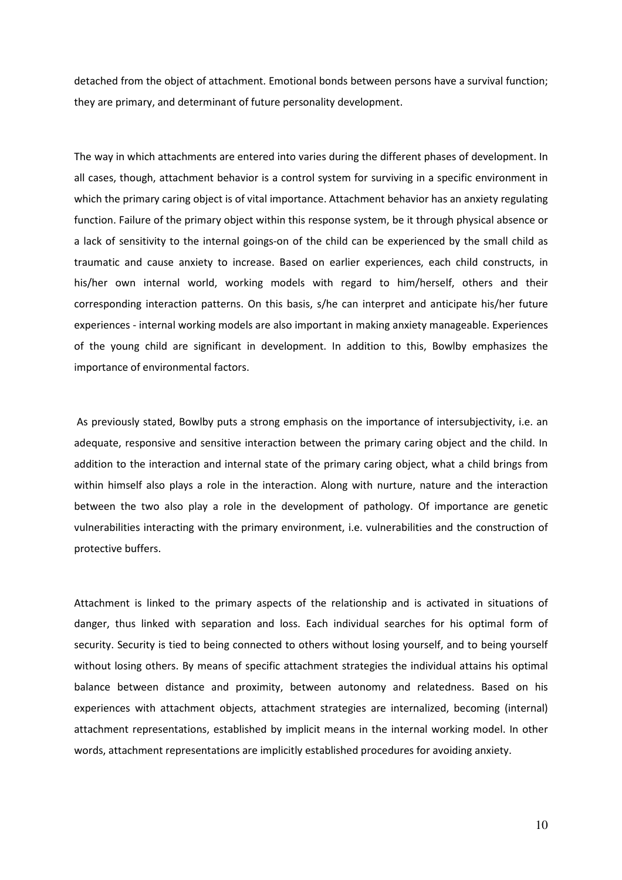detached from the object of attachment. Emotional bonds between persons have a survival function; they are primary, and determinant of future personality development.

The way in which attachments are entered into varies during the different phases of development. In all cases, though, attachment behavior is a control system for surviving in a specific environment in which the primary caring object is of vital importance. Attachment behavior has an anxiety regulating function. Failure of the primary object within this response system, be it through physical absence or a lack of sensitivity to the internal goings-on of the child can be experienced by the small child as traumatic and cause anxiety to increase. Based on earlier experiences, each child constructs, in his/her own internal world, working models with regard to him/herself, others and their corresponding interaction patterns. On this basis, s/he can interpret and anticipate his/her future experiences - internal working models are also important in making anxiety manageable. Experiences of the young child are significant in development. In addition to this, Bowlby emphasizes the importance of environmental factors.

 As previously stated, Bowlby puts a strong emphasis on the importance of intersubjectivity, i.e. an adequate, responsive and sensitive interaction between the primary caring object and the child. In addition to the interaction and internal state of the primary caring object, what a child brings from within himself also plays a role in the interaction. Along with nurture, nature and the interaction between the two also play a role in the development of pathology. Of importance are genetic vulnerabilities interacting with the primary environment, i.e. vulnerabilities and the construction of protective buffers.

Attachment is linked to the primary aspects of the relationship and is activated in situations of danger, thus linked with separation and loss. Each individual searches for his optimal form of security. Security is tied to being connected to others without losing yourself, and to being yourself without losing others. By means of specific attachment strategies the individual attains his optimal balance between distance and proximity, between autonomy and relatedness. Based on his experiences with attachment objects, attachment strategies are internalized, becoming (internal) attachment representations, established by implicit means in the internal working model. In other words, attachment representations are implicitly established procedures for avoiding anxiety.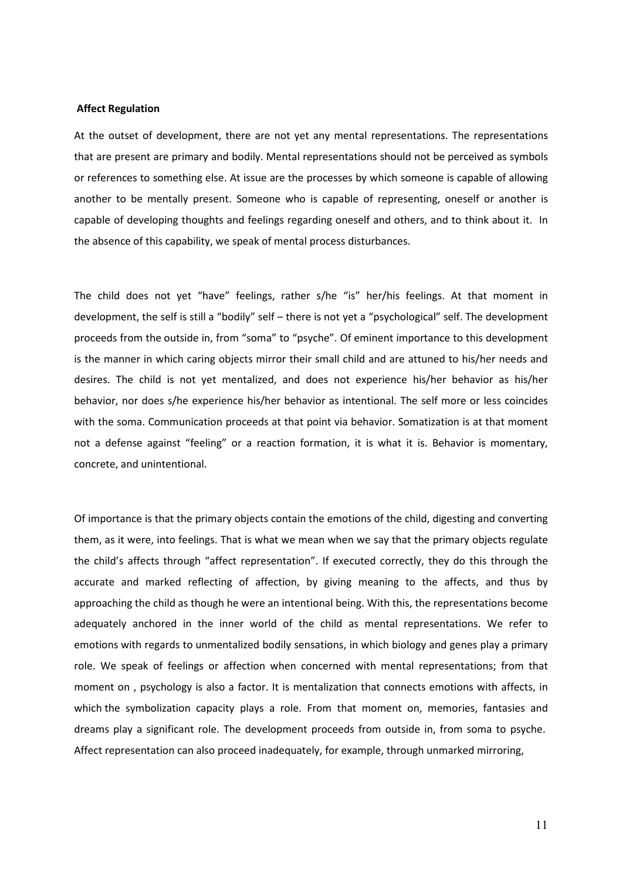#### Affect Regulation

At the outset of development, there are not yet any mental representations. The representations that are present are primary and bodily. Mental representations should not be perceived as symbols or references to something else. At issue are the processes by which someone is capable of allowing another to be mentally present. Someone who is capable of representing, oneself or another is capable of developing thoughts and feelings regarding oneself and others, and to think about it. In the absence of this capability, we speak of mental process disturbances.

The child does not yet "have" feelings, rather s/he "is" her/his feelings. At that moment in development, the self is still a "bodily" self – there is not yet a "psychological" self. The development proceeds from the outside in, from "soma" to "psyche". Of eminent importance to this development is the manner in which caring objects mirror their small child and are attuned to his/her needs and desires. The child is not yet mentalized, and does not experience his/her behavior as his/her behavior, nor does s/he experience his/her behavior as intentional. The self more or less coincides with the soma. Communication proceeds at that point via behavior. Somatization is at that moment not a defense against "feeling" or a reaction formation, it is what it is. Behavior is momentary, concrete, and unintentional.

Of importance is that the primary objects contain the emotions of the child, digesting and converting them, as it were, into feelings. That is what we mean when we say that the primary objects regulate the child's affects through "affect representation". If executed correctly, they do this through the accurate and marked reflecting of affection, by giving meaning to the affects, and thus by approaching the child as though he were an intentional being. With this, the representations become adequately anchored in the inner world of the child as mental representations. We refer to emotions with regards to unmentalized bodily sensations, in which biology and genes play a primary role. We speak of feelings or affection when concerned with mental representations; from that moment on , psychology is also a factor. It is mentalization that connects emotions with affects, in which the symbolization capacity plays a role. From that moment on, memories, fantasies and dreams play a significant role. The development proceeds from outside in, from soma to psyche. Affect representation can also proceed inadequately, for example, through unmarked mirroring,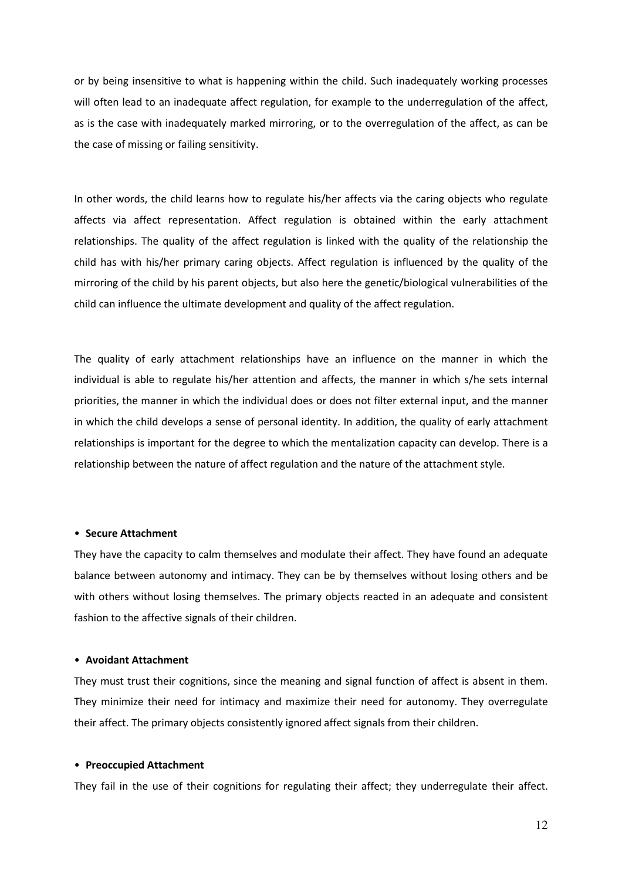or by being insensitive to what is happening within the child. Such inadequately working processes will often lead to an inadequate affect regulation, for example to the underregulation of the affect, as is the case with inadequately marked mirroring, or to the overregulation of the affect, as can be the case of missing or failing sensitivity.

In other words, the child learns how to regulate his/her affects via the caring objects who regulate affects via affect representation. Affect regulation is obtained within the early attachment relationships. The quality of the affect regulation is linked with the quality of the relationship the child has with his/her primary caring objects. Affect regulation is influenced by the quality of the mirroring of the child by his parent objects, but also here the genetic/biological vulnerabilities of the child can influence the ultimate development and quality of the affect regulation.

The quality of early attachment relationships have an influence on the manner in which the individual is able to regulate his/her attention and affects, the manner in which s/he sets internal priorities, the manner in which the individual does or does not filter external input, and the manner in which the child develops a sense of personal identity. In addition, the quality of early attachment relationships is important for the degree to which the mentalization capacity can develop. There is a relationship between the nature of affect regulation and the nature of the attachment style.

# • Secure Attachment

They have the capacity to calm themselves and modulate their affect. They have found an adequate balance between autonomy and intimacy. They can be by themselves without losing others and be with others without losing themselves. The primary objects reacted in an adequate and consistent fashion to the affective signals of their children.

### • Avoidant Attachment

They must trust their cognitions, since the meaning and signal function of affect is absent in them. They minimize their need for intimacy and maximize their need for autonomy. They overregulate their affect. The primary objects consistently ignored affect signals from their children.

# • Preoccupied Attachment

They fail in the use of their cognitions for regulating their affect; they underregulate their affect.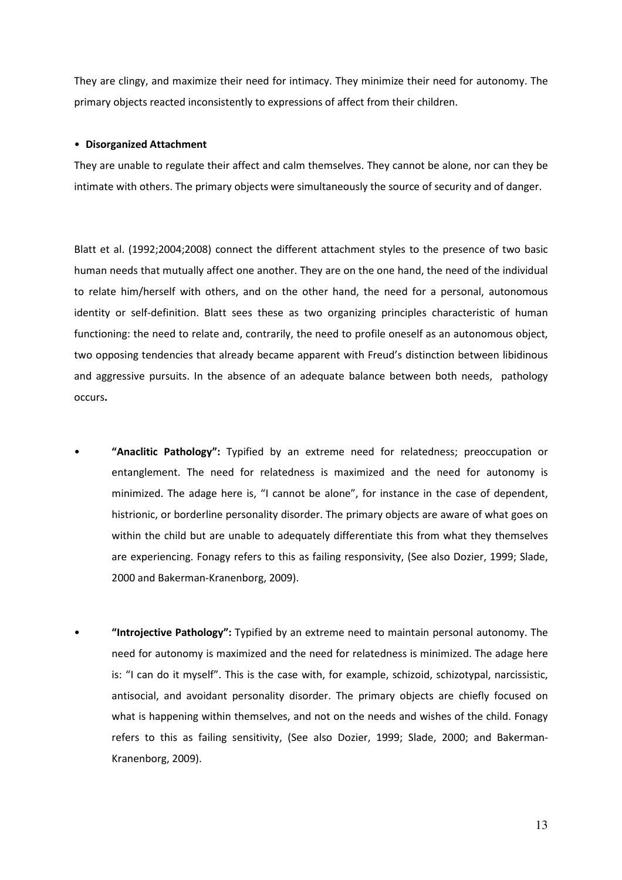They are clingy, and maximize their need for intimacy. They minimize their need for autonomy. The primary objects reacted inconsistently to expressions of affect from their children.

## • Disorganized Attachment

They are unable to regulate their affect and calm themselves. They cannot be alone, nor can they be intimate with others. The primary objects were simultaneously the source of security and of danger.

Blatt et al. (1992;2004;2008) connect the different attachment styles to the presence of two basic human needs that mutually affect one another. They are on the one hand, the need of the individual to relate him/herself with others, and on the other hand, the need for a personal, autonomous identity or self-definition. Blatt sees these as two organizing principles characteristic of human functioning: the need to relate and, contrarily, the need to profile oneself as an autonomous object, two opposing tendencies that already became apparent with Freud's distinction between libidinous and aggressive pursuits. In the absence of an adequate balance between both needs, pathology occurs.

- "Anaclitic Pathology": Typified by an extreme need for relatedness; preoccupation or entanglement. The need for relatedness is maximized and the need for autonomy is minimized. The adage here is, "I cannot be alone", for instance in the case of dependent, histrionic, or borderline personality disorder. The primary objects are aware of what goes on within the child but are unable to adequately differentiate this from what they themselves are experiencing. Fonagy refers to this as failing responsivity, (See also Dozier, 1999; Slade, 2000 and Bakerman-Kranenborg, 2009).
- "Introjective Pathology": Typified by an extreme need to maintain personal autonomy. The need for autonomy is maximized and the need for relatedness is minimized. The adage here is: "I can do it myself". This is the case with, for example, schizoid, schizotypal, narcissistic, antisocial, and avoidant personality disorder. The primary objects are chiefly focused on what is happening within themselves, and not on the needs and wishes of the child. Fonagy refers to this as failing sensitivity, (See also Dozier, 1999; Slade, 2000; and Bakerman-Kranenborg, 2009).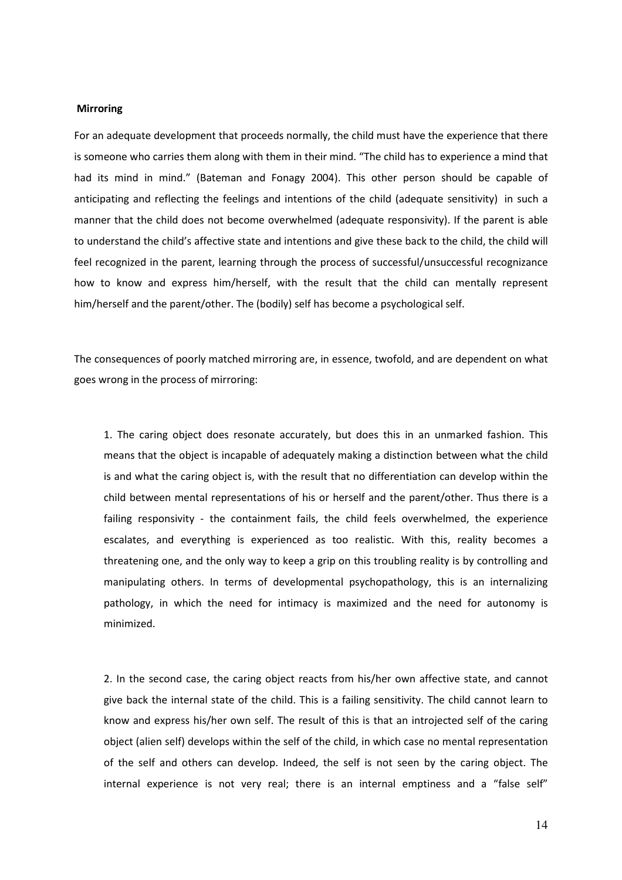# **Mirroring**

For an adequate development that proceeds normally, the child must have the experience that there is someone who carries them along with them in their mind. "The child has to experience a mind that had its mind in mind." (Bateman and Fonagy 2004). This other person should be capable of anticipating and reflecting the feelings and intentions of the child (adequate sensitivity) in such a manner that the child does not become overwhelmed (adequate responsivity). If the parent is able to understand the child's affective state and intentions and give these back to the child, the child will feel recognized in the parent, learning through the process of successful/unsuccessful recognizance how to know and express him/herself, with the result that the child can mentally represent him/herself and the parent/other. The (bodily) self has become a psychological self.

The consequences of poorly matched mirroring are, in essence, twofold, and are dependent on what goes wrong in the process of mirroring:

1. The caring object does resonate accurately, but does this in an unmarked fashion. This means that the object is incapable of adequately making a distinction between what the child is and what the caring object is, with the result that no differentiation can develop within the child between mental representations of his or herself and the parent/other. Thus there is a failing responsivity - the containment fails, the child feels overwhelmed, the experience escalates, and everything is experienced as too realistic. With this, reality becomes a threatening one, and the only way to keep a grip on this troubling reality is by controlling and manipulating others. In terms of developmental psychopathology, this is an internalizing pathology, in which the need for intimacy is maximized and the need for autonomy is minimized.

2. In the second case, the caring object reacts from his/her own affective state, and cannot give back the internal state of the child. This is a failing sensitivity. The child cannot learn to know and express his/her own self. The result of this is that an introjected self of the caring object (alien self) develops within the self of the child, in which case no mental representation of the self and others can develop. Indeed, the self is not seen by the caring object. The internal experience is not very real; there is an internal emptiness and a "false self"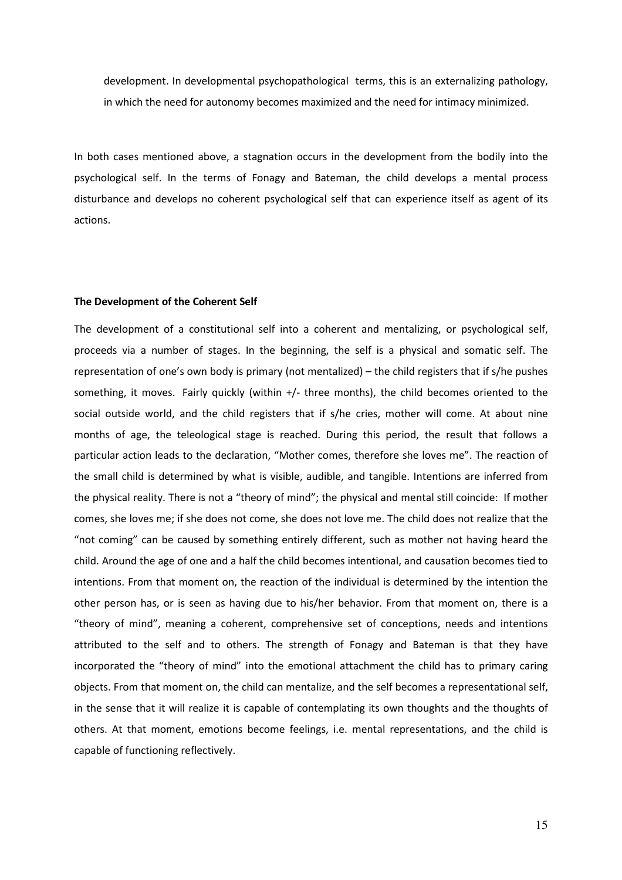development. In developmental psychopathological terms, this is an externalizing pathology, in which the need for autonomy becomes maximized and the need for intimacy minimized.

In both cases mentioned above, a stagnation occurs in the development from the bodily into the psychological self. In the terms of Fonagy and Bateman, the child develops a mental process disturbance and develops no coherent psychological self that can experience itself as agent of its actions.

# The Development of the Coherent Self

The development of a constitutional self into a coherent and mentalizing, or psychological self, proceeds via a number of stages. In the beginning, the self is a physical and somatic self. The representation of one's own body is primary (not mentalized) – the child registers that if s/he pushes something, it moves. Fairly quickly (within +/- three months), the child becomes oriented to the social outside world, and the child registers that if s/he cries, mother will come. At about nine months of age, the teleological stage is reached. During this period, the result that follows a particular action leads to the declaration, "Mother comes, therefore she loves me". The reaction of the small child is determined by what is visible, audible, and tangible. Intentions are inferred from the physical reality. There is not a "theory of mind"; the physical and mental still coincide: If mother comes, she loves me; if she does not come, she does not love me. The child does not realize that the "not coming" can be caused by something entirely different, such as mother not having heard the child. Around the age of one and a half the child becomes intentional, and causation becomes tied to intentions. From that moment on, the reaction of the individual is determined by the intention the other person has, or is seen as having due to his/her behavior. From that moment on, there is a "theory of mind", meaning a coherent, comprehensive set of conceptions, needs and intentions attributed to the self and to others. The strength of Fonagy and Bateman is that they have incorporated the "theory of mind" into the emotional attachment the child has to primary caring objects. From that moment on, the child can mentalize, and the self becomes a representational self, in the sense that it will realize it is capable of contemplating its own thoughts and the thoughts of others. At that moment, emotions become feelings, i.e. mental representations, and the child is capable of functioning reflectively.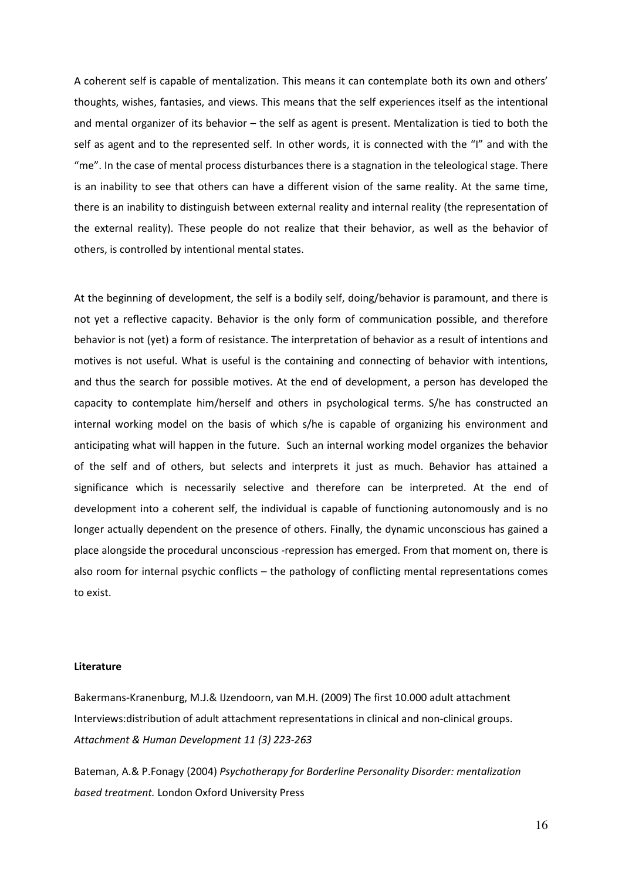A coherent self is capable of mentalization. This means it can contemplate both its own and others' thoughts, wishes, fantasies, and views. This means that the self experiences itself as the intentional and mental organizer of its behavior – the self as agent is present. Mentalization is tied to both the self as agent and to the represented self. In other words, it is connected with the "I" and with the "me". In the case of mental process disturbances there is a stagnation in the teleological stage. There is an inability to see that others can have a different vision of the same reality. At the same time, there is an inability to distinguish between external reality and internal reality (the representation of the external reality). These people do not realize that their behavior, as well as the behavior of others, is controlled by intentional mental states.

At the beginning of development, the self is a bodily self, doing/behavior is paramount, and there is not yet a reflective capacity. Behavior is the only form of communication possible, and therefore behavior is not (yet) a form of resistance. The interpretation of behavior as a result of intentions and motives is not useful. What is useful is the containing and connecting of behavior with intentions, and thus the search for possible motives. At the end of development, a person has developed the capacity to contemplate him/herself and others in psychological terms. S/he has constructed an internal working model on the basis of which s/he is capable of organizing his environment and anticipating what will happen in the future. Such an internal working model organizes the behavior of the self and of others, but selects and interprets it just as much. Behavior has attained a significance which is necessarily selective and therefore can be interpreted. At the end of development into a coherent self, the individual is capable of functioning autonomously and is no longer actually dependent on the presence of others. Finally, the dynamic unconscious has gained a place alongside the procedural unconscious -repression has emerged. From that moment on, there is also room for internal psychic conflicts – the pathology of conflicting mental representations comes to exist.

# Literature

Bakermans-Kranenburg, M.J.& IJzendoorn, van M.H. (2009) The first 10.000 adult attachment Interviews:distribution of adult attachment representations in clinical and non-clinical groups. Attachment & Human Development 11 (3) 223-263

Bateman, A.& P.Fonagy (2004) Psychotherapy for Borderline Personality Disorder: mentalization based treatment. London Oxford University Press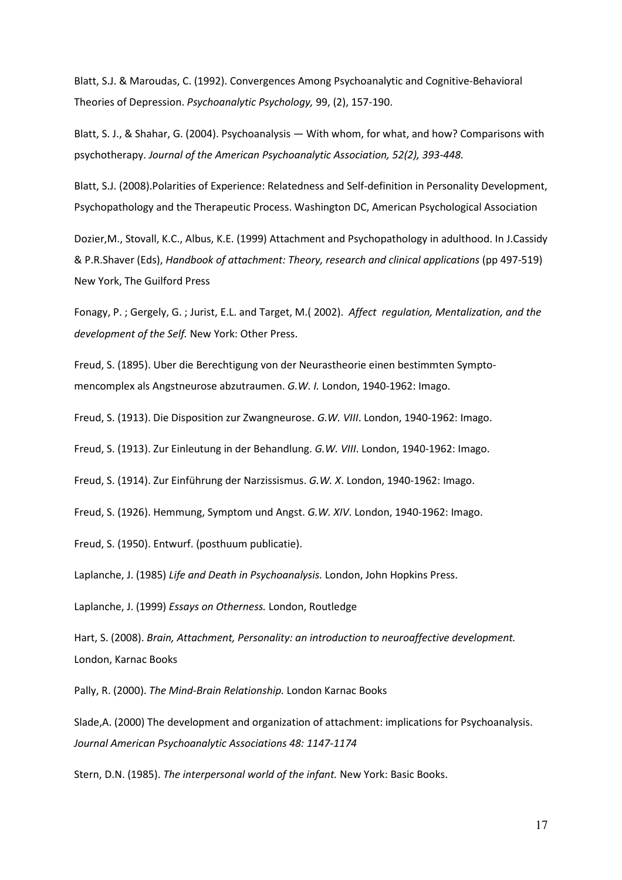Blatt, S.J. & Maroudas, C. (1992). Convergences Among Psychoanalytic and Cognitive-Behavioral Theories of Depression. Psychoanalytic Psychology, 99, (2), 157-190.

Blatt, S. J., & Shahar, G. (2004). Psychoanalysis — With whom, for what, and how? Comparisons with psychotherapy. Journal of the American Psychoanalytic Association, 52(2), 393-448.

Blatt, S.J. (2008).Polarities of Experience: Relatedness and Self-definition in Personality Development, Psychopathology and the Therapeutic Process. Washington DC, American Psychological Association

Dozier,M., Stovall, K.C., Albus, K.E. (1999) Attachment and Psychopathology in adulthood. In J.Cassidy & P.R.Shaver (Eds), Handbook of attachment: Theory, research and clinical applications (pp 497-519) New York, The Guilford Press

Fonagy, P. ; Gergely, G. ; Jurist, E.L. and Target, M.( 2002). Affect regulation, Mentalization, and the development of the Self. New York: Other Press.

Freud, S. (1895). Uber die Berechtigung von der Neurastheorie einen bestimmten Symptomencomplex als Angstneurose abzutraumen. G.W. I. London, 1940-1962: Imago.

Freud, S. (1913). Die Disposition zur Zwangneurose. G.W. VIII. London, 1940-1962: Imago.

Freud, S. (1913). Zur Einleutung in der Behandlung. G.W. VIII. London, 1940-1962: Imago.

Freud, S. (1914). Zur Einführung der Narzissismus. G.W. X. London, 1940-1962: Imago.

Freud, S. (1926). Hemmung, Symptom und Angst. G.W. XIV. London, 1940-1962: Imago.

Freud, S. (1950). Entwurf. (posthuum publicatie).

Laplanche, J. (1985) Life and Death in Psychoanalysis. London, John Hopkins Press.

Laplanche, J. (1999) Essays on Otherness. London, Routledge

Hart, S. (2008). Brain, Attachment, Personality: an introduction to neuroaffective development. London, Karnac Books

Pally, R. (2000). The Mind-Brain Relationship. London Karnac Books

Slade,A. (2000) The development and organization of attachment: implications for Psychoanalysis. Journal American Psychoanalytic Associations 48: 1147-1174

Stern, D.N. (1985). The interpersonal world of the infant. New York: Basic Books.